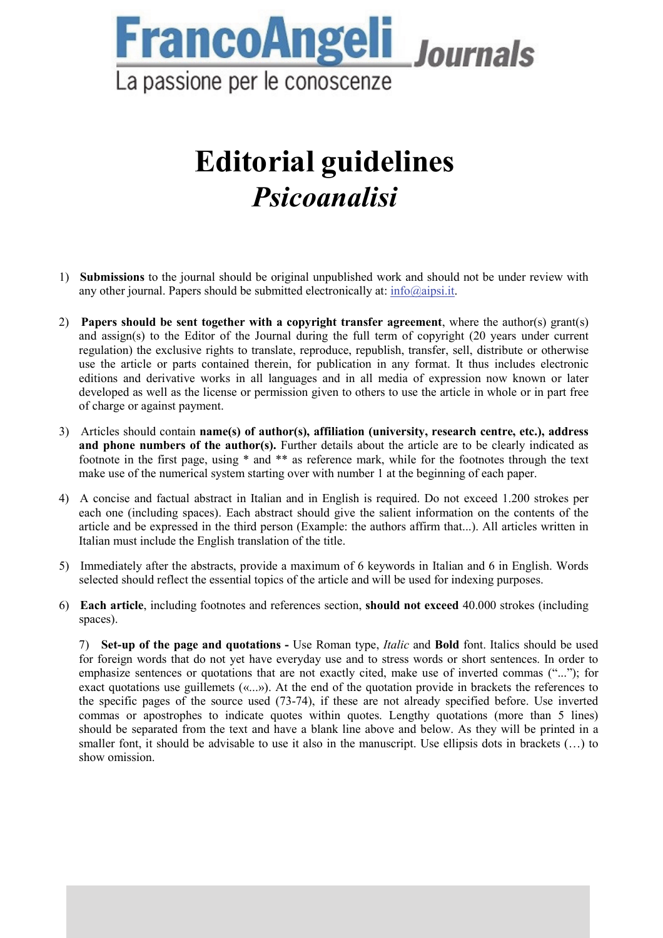

# **Editorial guidelines**  *Psicoanalisi*

- 1) **Submissions** to the journal should be original unpublished work and should not be under review with any other journal. Papers should be submitted electronically at:  $info@aipsi.it$ .
- 2) **Papers should be sent together with a copyright transfer agreement**, where the author(s) grant(s) and assign(s) to the Editor of the Journal during the full term of copyright (20 years under current regulation) the exclusive rights to translate, reproduce, republish, transfer, sell, distribute or otherwise use the article or parts contained therein, for publication in any format. It thus includes electronic editions and derivative works in all languages and in all media of expression now known or later developed as well as the license or permission given to others to use the article in whole or in part free of charge or against payment.
- 3) Articles should contain **name(s) of author(s), affiliation (university, research centre, etc.), address**  and phone numbers of the author(s). Further details about the article are to be clearly indicated as footnote in the first page, using \* and \*\* as reference mark, while for the footnotes through the text make use of the numerical system starting over with number 1 at the beginning of each paper.
- 4) A concise and factual abstract in Italian and in English is required. Do not exceed 1.200 strokes per each one (including spaces). Each abstract should give the salient information on the contents of the article and be expressed in the third person (Example: the authors affirm that...). All articles written in Italian must include the English translation of the title.
- 5) Immediately after the abstracts, provide a maximum of 6 keywords in Italian and 6 in English. Words selected should reflect the essential topics of the article and will be used for indexing purposes.
- 6) **Each article**, including footnotes and references section, **should not exceed** 40.000 strokes (including spaces).

7) **Set-up of the page and quotations -** Use Roman type, *Italic* and **Bold** font. Italics should be used for foreign words that do not yet have everyday use and to stress words or short sentences. In order to emphasize sentences or quotations that are not exactly cited, make use of inverted commas ("..."); for exact quotations use guillemets («...»). At the end of the quotation provide in brackets the references to the specific pages of the source used (73-74), if these are not already specified before. Use inverted commas or apostrophes to indicate quotes within quotes. Lengthy quotations (more than 5 lines) should be separated from the text and have a blank line above and below. As they will be printed in a smaller font, it should be advisable to use it also in the manuscript. Use ellipsis dots in brackets (...) to show omission.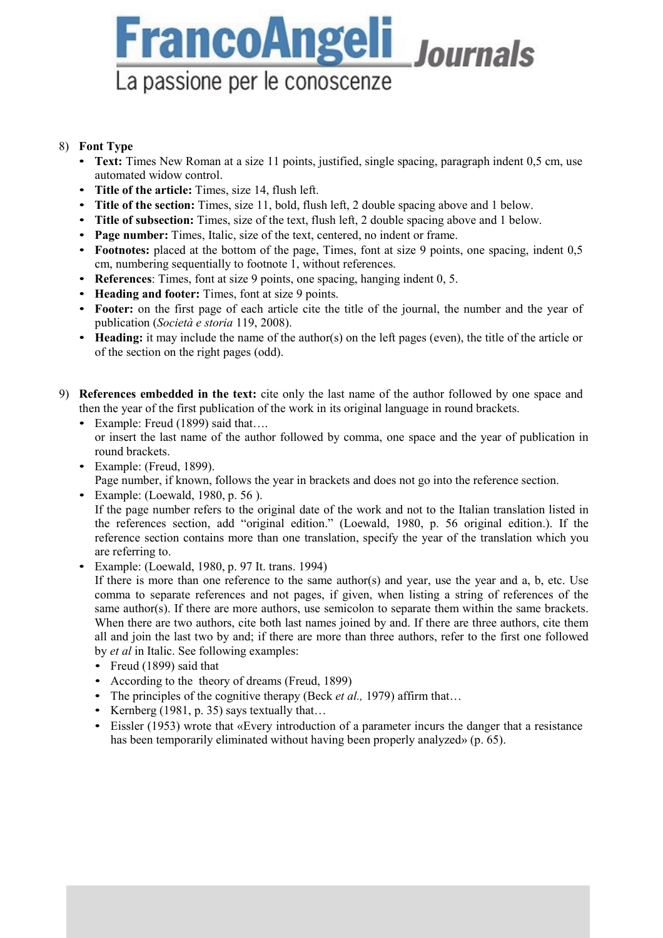# **FrancoAngeli** Journals La passione per le conoscenze

# 8) **Font Type**

- **Text:** Times New Roman at a size 11 points, justified, single spacing, paragraph indent 0,5 cm, use automated widow control.
- **Title of the article:** Times, size 14, flush left.
- **Title of the section:** Times, size 11, bold, flush left, 2 double spacing above and 1 below.
- **Title of subsection:** Times, size of the text, flush left, 2 double spacing above and 1 below.
- **Page number:** Times, Italic, size of the text, centered, no indent or frame.
- **Footnotes:** placed at the bottom of the page, Times, font at size 9 points, one spacing, indent 0,5 cm, numbering sequentially to footnote 1, without references.
- **References**: Times, font at size 9 points, one spacing, hanging indent 0, 5.
- **Heading and footer:** Times, font at size 9 points.
- **Footer:** on the first page of each article cite the title of the journal, the number and the year of publication (*Società e storia* 119, 2008).
- **Heading:** it may include the name of the author(s) on the left pages (even), the title of the article or of the section on the right pages (odd).
- 9) **References embedded in the text:** cite only the last name of the author followed by one space and then the year of the first publication of the work in its original language in round brackets.
	- Example: Freud (1899) said that.... or insert the last name of the author followed by comma, one space and the year of publication in round brackets.
	- Example: (Freud, 1899). Page number, if known, follows the year in brackets and does not go into the reference section.
	- Example: (Loewald, 1980, p. 56 ). If the page number refers to the original date of the work and not to the Italian translation listed in the references section, add "original edition." (Loewald, 1980, p. 56 original edition.). If the reference section contains more than one translation, specify the year of the translation which you are referring to.
	- Example: (Loewald, 1980, p. 97 It. trans. 1994)

If there is more than one reference to the same author(s) and year, use the year and a, b, etc. Use comma to separate references and not pages, if given, when listing a string of references of the same author(s). If there are more authors, use semicolon to separate them within the same brackets. When there are two authors, cite both last names joined by and. If there are three authors, cite them all and join the last two by and; if there are more than three authors, refer to the first one followed by *et al* in Italic. See following examples:

- Freud (1899) said that
- According to the theory of dreams (Freud, 1899)
- The principles of the cognitive therapy (Beck *et al.,* 1979) affirm that...
- Kernberg (1981, p. 35) says textually that...
- Eissler (1953) wrote that «Every introduction of a parameter incurs the danger that a resistance has been temporarily eliminated without having been properly analyzed» (p. 65).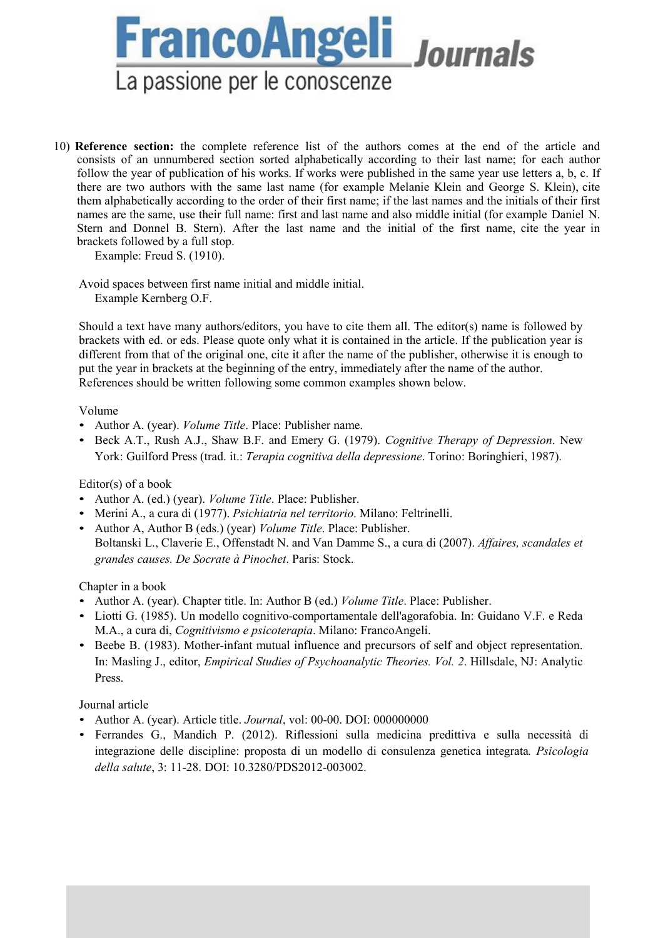

10) **Reference section:** the complete reference list of the authors comes at the end of the article and consists of an unnumbered section sorted alphabetically according to their last name; for each author follow the year of publication of his works. If works were published in the same year use letters a, b, c. If there are two authors with the same last name (for example Melanie Klein and George S. Klein), cite them alphabetically according to the order of their first name; if the last names and the initials of their first names are the same, use their full name: first and last name and also middle initial (for example Daniel N. Stern and Donnel B. Stern). After the last name and the initial of the first name, cite the year in brackets followed by a full stop.

Example: Freud S. (1910).

Avoid spaces between first name initial and middle initial. Example Kernberg O.F.

Should a text have many authors/editors, you have to cite them all. The editor(s) name is followed by brackets with ed. or eds. Please quote only what it is contained in the article. If the publication year is different from that of the original one, cite it after the name of the publisher, otherwise it is enough to put the year in brackets at the beginning of the entry, immediately after the name of the author. References should be written following some common examples shown below.

#### Volume

- Author A. (year). *Volume Title*. Place: Publisher name.
- Beck A.T., Rush A.J., Shaw B.F. and Emery G. (1979). *Cognitive Therapy of Depression*. New York: Guilford Press (trad. it.: *Terapia cognitiva della depressione*. Torino: Boringhieri, 1987).

Editor(s) of a book

- Author A. (ed.) (year). *Volume Title*. Place: Publisher.
- Merini A., a cura di (1977). *Psichiatria nel territorio*. Milano: Feltrinelli.
- Author A, Author B (eds.) (year) *Volume Title*. Place: Publisher. Boltanski L., Claverie E., Offenstadt N. and Van Damme S., a cura di (2007). *Affaires, scandales et grandes causes. De Socrate à Pinochet*. Paris: Stock.

Chapter in a book

- Author A. (year). Chapter title. In: Author B (ed.) *Volume Title*. Place: Publisher.
- Liotti G. (1985). Un modello cognitivo-comportamentale dell'agorafobia. In: Guidano V.F. e Reda M.A., a cura di, *Cognitivismo e psicoterapia*. Milano: FrancoAngeli.
- Beebe B. (1983). Mother-infant mutual influence and precursors of self and object representation. In: Masling J., editor, *Empirical Studies of Psychoanalytic Theories. Vol. 2*. Hillsdale, NJ: Analytic Press.

## Journal article

- Author A. (year). Article title. *Journal*, vol: 00-00. DOI: 000000000
- Ferrandes G., Mandich P. (2012). Riflessioni sulla medicina predittiva e sulla necessità di integrazione delle discipline: proposta di un modello di consulenza genetica integrata*. Psicologia della salute*, 3: 11-28. DOI: 10.3280/PDS2012-003002.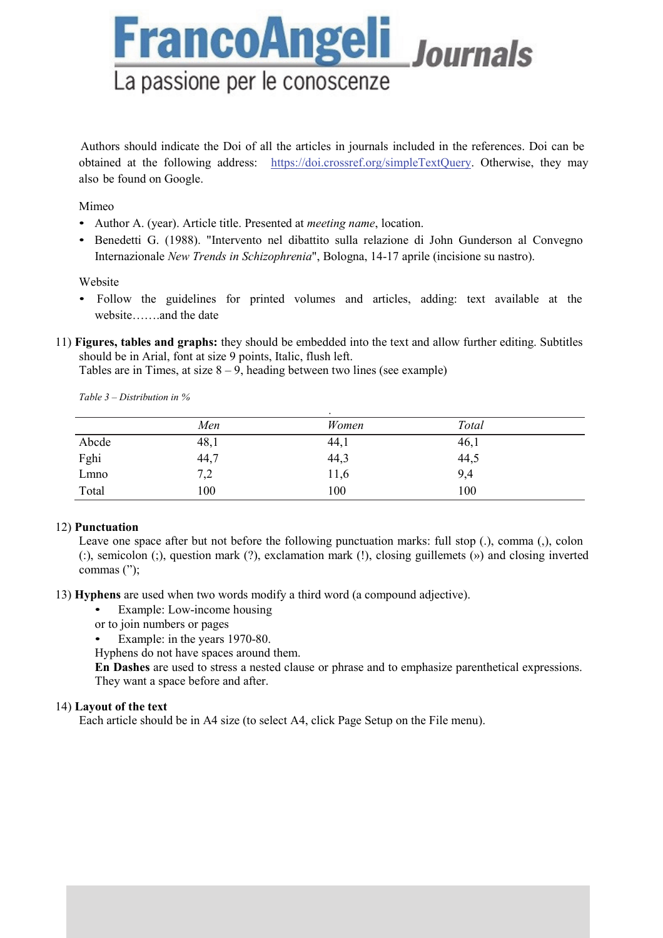Authors should indicate the Doi of all the articles in journals included in the references. Doi can be

**FrancoAngeli** Journals

obtained at the following address: https://doi.crossref.org/simpleTextQuery. Otherwise, they may also be found on Google.

Mimeo

• Author A. (year). Article title. Presented at *meeting name*, location.

La passione per le conoscenze

• Benedetti G. (1988). "Intervento nel dibattito sulla relazione di John Gunderson al Convegno Internazionale *New Trends in Schizophrenia*", Bologna, 14-17 aprile (incisione su nastro).

Website

- Follow the guidelines for printed volumes and articles, adding: text available at the website…….and the date
- 11) **Figures, tables and graphs:** they should be embedded into the text and allow further editing. Subtitles should be in Arial, font at size 9 points, Italic, flush left.

Tables are in Times, at size  $8 - 9$ , heading between two lines (see example)

|       | Men  | Women | Total |  |
|-------|------|-------|-------|--|
| Abcde | 48,1 | 44,1  | 46,1  |  |
| Fghi  | 44,7 | 44,3  | 44,5  |  |
| Lmno  | 7,2  | 11,6  | 9,4   |  |
| Total | 100  | 100   | 100   |  |

*Table 3 – Distribution in %*

#### 12) **Punctuation**

Leave one space after but not before the following punctuation marks: full stop (.), comma (,), colon (:), semicolon (;), question mark (?), exclamation mark (!), closing guillemets (») and closing inverted commas (");

- 13) **Hyphens** are used when two words modify a third word (a compound adjective).
	- Example: Low-income housing
	- or to join numbers or pages
	- Example: in the years 1970-80.

Hyphens do not have spaces around them.

**En Dashes** are used to stress a nested clause or phrase and to emphasize parenthetical expressions. They want a space before and after.

## 14) **Layout of the text**

Each article should be in A4 size (to select A4, click Page Setup on the File menu).